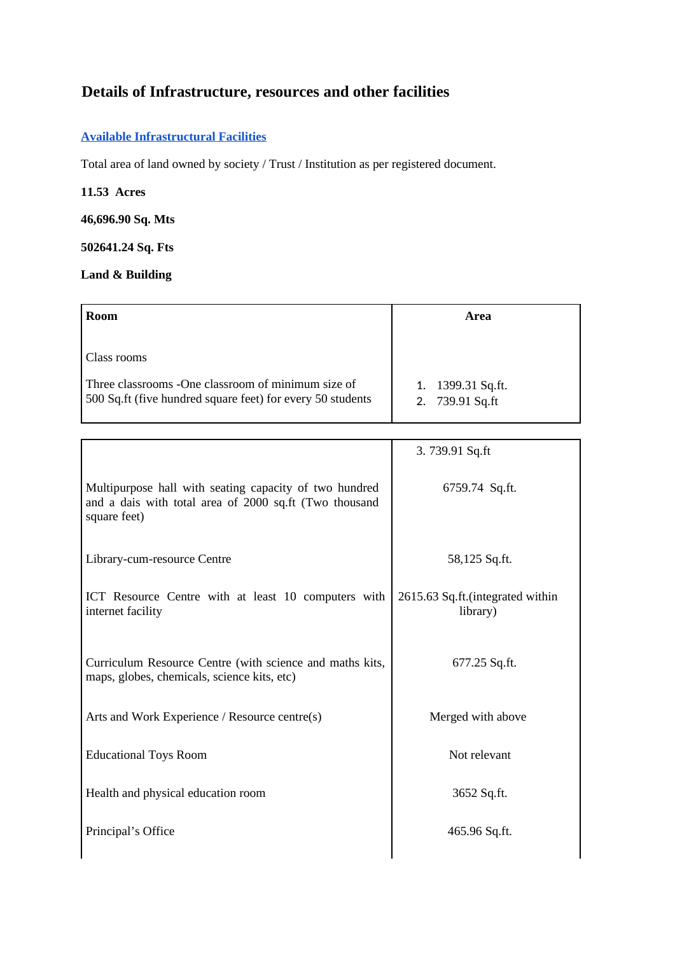# **Details of Infrastructure, resources and other facilities**

# **Available Infrastructural Facilities**

Total area of land owned by society / Trust / Institution as per registered document.

## **11.53 Acres**

## **46,696.90 Sq. Mts**

# **502641.24 Sq. Fts**

# **Land & Building**

| <b>Room</b>                                                                                                                     | Area                                 |  |
|---------------------------------------------------------------------------------------------------------------------------------|--------------------------------------|--|
| Class rooms<br>Three classrooms -One classroom of minimum size of<br>500 Sq.ft (five hundred square feet) for every 50 students | 1. 1399.31 Sq.ft.<br>2. 739.91 Sq.ft |  |

|                                                                                                                                  | 3.739.91 Sq.ft                               |  |
|----------------------------------------------------------------------------------------------------------------------------------|----------------------------------------------|--|
| Multipurpose hall with seating capacity of two hundred<br>and a dais with total area of 2000 sq.ft (Two thousand<br>square feet) | 6759.74 Sq.ft.                               |  |
| Library-cum-resource Centre                                                                                                      | 58,125 Sq.ft.                                |  |
| ICT Resource Centre with at least 10 computers with<br>internet facility                                                         | 2615.63 Sq.ft.(integrated within<br>library) |  |
| Curriculum Resource Centre (with science and maths kits,<br>maps, globes, chemicals, science kits, etc)                          | 677.25 Sq.ft.                                |  |
| Arts and Work Experience / Resource centre(s)                                                                                    | Merged with above                            |  |
| <b>Educational Toys Room</b>                                                                                                     | Not relevant                                 |  |
| Health and physical education room                                                                                               | 3652 Sq.ft.                                  |  |
| Principal's Office                                                                                                               | 465.96 Sq.ft.                                |  |
|                                                                                                                                  |                                              |  |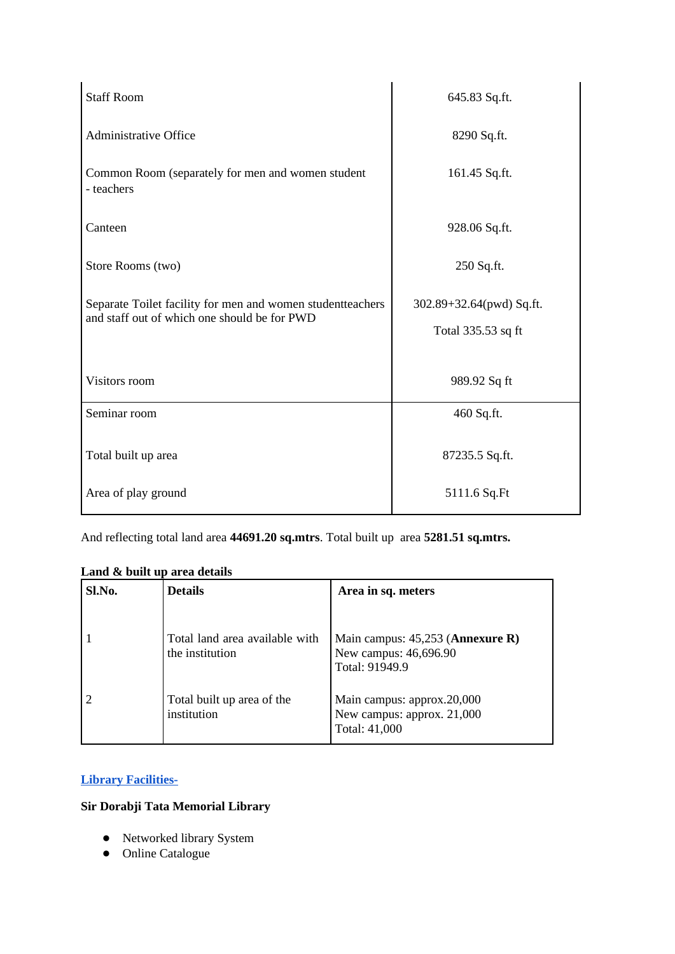| <b>Staff Room</b>                                                                                          | 645.83 Sq.ft.                                  |  |
|------------------------------------------------------------------------------------------------------------|------------------------------------------------|--|
| <b>Administrative Office</b>                                                                               | 8290 Sq.ft.                                    |  |
| Common Room (separately for men and women student<br>- teachers                                            | 161.45 Sq.ft.                                  |  |
| Canteen                                                                                                    | 928.06 Sq.ft.                                  |  |
| Store Rooms (two)                                                                                          | 250 Sq.ft.                                     |  |
| Separate Toilet facility for men and women studentteachers<br>and staff out of which one should be for PWD | 302.89+32.64(pwd) Sq.ft.<br>Total 335.53 sq ft |  |
| Visitors room                                                                                              | 989.92 Sq ft                                   |  |
| Seminar room                                                                                               | 460 Sq.ft.                                     |  |
| Total built up area                                                                                        | 87235.5 Sq.ft.                                 |  |
| Area of play ground                                                                                        | 5111.6 Sq.Ft                                   |  |

And reflecting total land area **44691.20 sq.mtrs**. Total built up area **5281.51 sq.mtrs.**

# **Land & built up area details**

| Sl.No. | <b>Details</b>                                    | Area in sq. meters                                                                   |  |
|--------|---------------------------------------------------|--------------------------------------------------------------------------------------|--|
|        | Total land area available with<br>the institution | Main campus: 45,253 ( <b>Annexure R</b> )<br>New campus: 46,696.90<br>Total: 91949.9 |  |
|        | Total built up area of the<br>institution         | Main campus: approx.20,000<br>New campus: approx. 21,000<br>Total: 41,000            |  |

# **Library Facilities-**

# **Sir Dorabji Tata Memorial Library**

- Networked library System
- Online Catalogue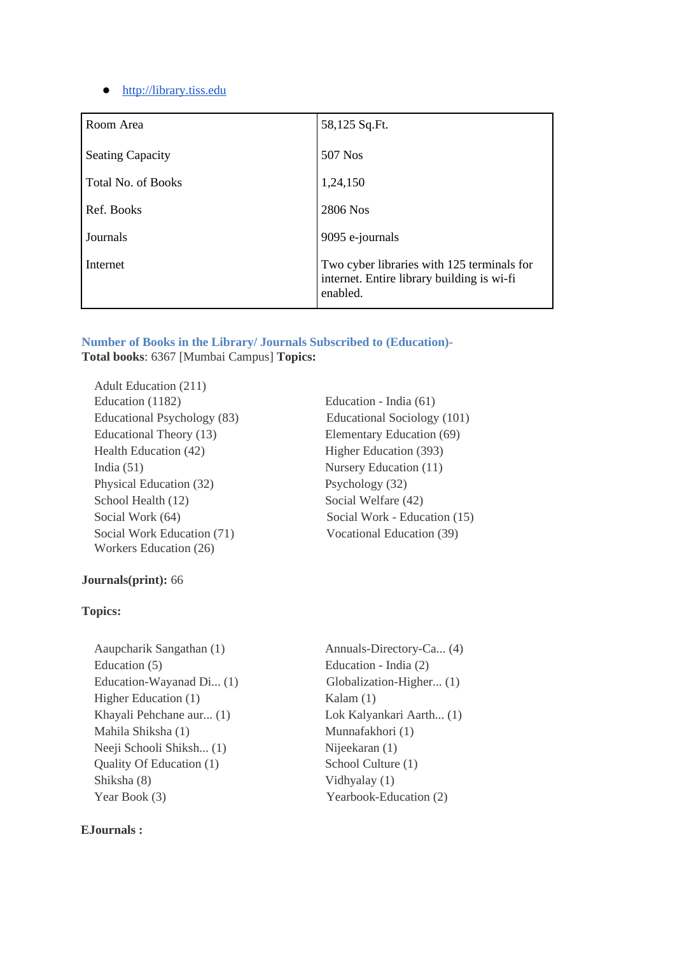## ● [http://library.tiss.edu](http://library.tiss.edu/)

| Room Area                 | 58,125 Sq.Ft.                                                                                        |
|---------------------------|------------------------------------------------------------------------------------------------------|
| <b>Seating Capacity</b>   | 507 Nos                                                                                              |
| <b>Total No. of Books</b> | 1,24,150                                                                                             |
| Ref. Books                | 2806 Nos                                                                                             |
| Journals                  | 9095 e-journals                                                                                      |
| Internet                  | Two cyber libraries with 125 terminals for<br>internet. Entire library building is wi-fi<br>enabled. |

**Number of Books in the Library/ Journals Subscribed to (Education)- Total books**: 6367 [Mumbai Campus] **Topics:**

 Adult Education (211) Education (1182) Education - India (61) Educational Psychology (83) Educational Sociology (101) Educational Theory (13) Elementary Education (69) Health Education (42) Higher Education (393) India (51) Nursery Education (11) Physical Education (32) Psychology (32) School Health (12) Social Welfare (42) Social Work Education (71) Workers Education (26)

# Social Work (64) Social Work - Education (15) Vocational Education (39)

## **Journals(print):** 66

#### **Topics:**

Aaupcharik Sangathan (1) Annuals-Directory-Ca... (4) Education (5) Education - India (2) Education-Wayanad Di... (1) Globalization-Higher... (1) Higher Education (1) Kalam (1) Khayali Pehchane aur... (1) Lok Kalyankari Aarth... (1) Mahila Shiksha (1) Munnafakhori (1) Neeji Schooli Shiksh... (1) Nijeekaran (1) Quality Of Education (1) School Culture (1) Shiksha (8) Vidhyalay (1) Year Book (3) Yearbook-Education (2)

### **EJournals :**